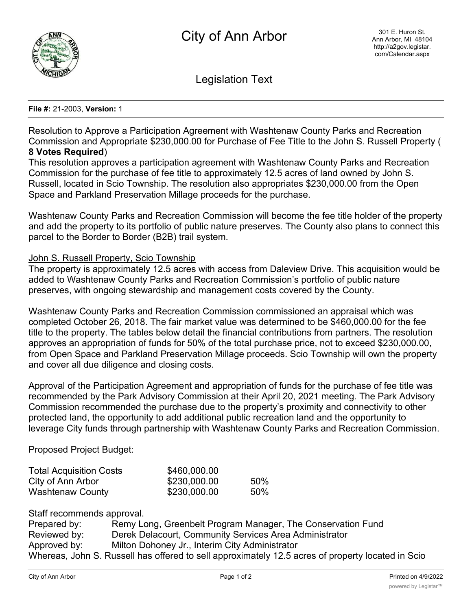

Legislation Text

## **File #:** 21-2003, **Version:** 1

Resolution to Approve a Participation Agreement with Washtenaw County Parks and Recreation Commission and Appropriate \$230,000.00 for Purchase of Fee Title to the John S. Russell Property ( **8 Votes Required**)

This resolution approves a participation agreement with Washtenaw County Parks and Recreation Commission for the purchase of fee title to approximately 12.5 acres of land owned by John S. Russell, located in Scio Township. The resolution also appropriates \$230,000.00 from the Open Space and Parkland Preservation Millage proceeds for the purchase.

Washtenaw County Parks and Recreation Commission will become the fee title holder of the property and add the property to its portfolio of public nature preserves. The County also plans to connect this parcel to the Border to Border (B2B) trail system.

## John S. Russell Property, Scio Township

The property is approximately 12.5 acres with access from Daleview Drive. This acquisition would be added to Washtenaw County Parks and Recreation Commission's portfolio of public nature preserves, with ongoing stewardship and management costs covered by the County.

Washtenaw County Parks and Recreation Commission commissioned an appraisal which was completed October 26, 2018. The fair market value was determined to be \$460,000.00 for the fee title to the property. The tables below detail the financial contributions from partners. The resolution approves an appropriation of funds for 50% of the total purchase price, not to exceed \$230,000.00, from Open Space and Parkland Preservation Millage proceeds. Scio Township will own the property and cover all due diligence and closing costs.

Approval of the Participation Agreement and appropriation of funds for the purchase of fee title was recommended by the Park Advisory Commission at their April 20, 2021 meeting. The Park Advisory Commission recommended the purchase due to the property's proximity and connectivity to other protected land, the opportunity to add additional public recreation land and the opportunity to leverage City funds through partnership with Washtenaw County Parks and Recreation Commission.

## Proposed Project Budget:

| <b>Total Acquisition Costs</b> | \$460,000.00 |     |
|--------------------------------|--------------|-----|
| City of Ann Arbor              | \$230,000.00 | 50% |
| <b>Washtenaw County</b>        | \$230,000.00 | 50% |

Staff recommends approval.

| Prepared by: | Remy Long, Greenbelt Program Manager, The Conservation Fund                                       |
|--------------|---------------------------------------------------------------------------------------------------|
| Reviewed by: | Derek Delacourt, Community Services Area Administrator                                            |
| Approved by: | Milton Dohoney Jr., Interim City Administrator                                                    |
|              | Whereas, John S. Russell has offered to sell approximately 12.5 acres of property located in Scio |